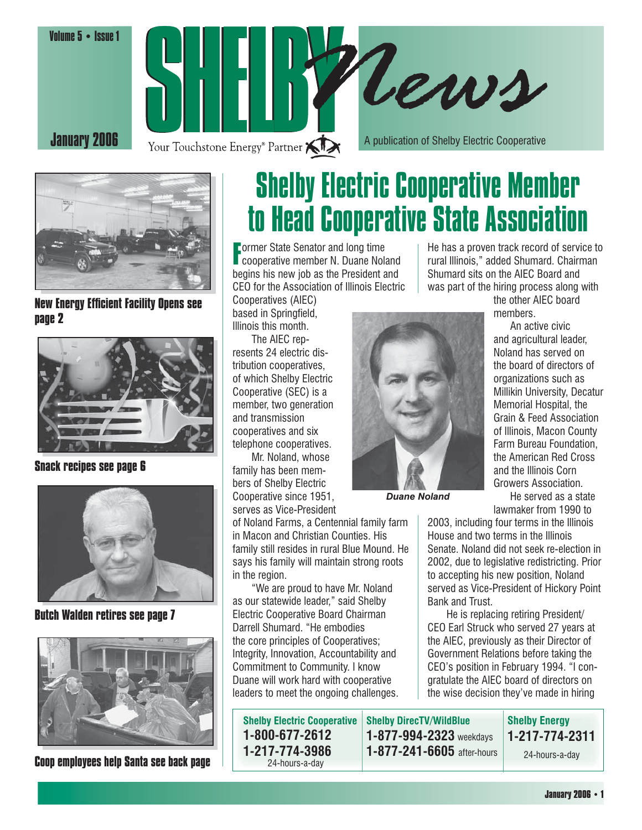Volume 5 • Issue 1







**New Energy Efficient Facility Opens see page 2**



**Snack recipes see page 6**



**Butch Walden retires see page 7**



**Coop employees help Santa see back page**

## Shelby Electric Cooperative Member to Head Cooperative State Association

**F** ormer State Senator and long time<br>**F** cooperative member N. Duane Noland **Lormer State Senator and long time** begins his new job as the President and CEO for the Association of Illinois Electric

Cooperatives (AIEC) based in Springfield, Illinois this month.

 The AIEC represents 24 electric distribution cooperatives, of which Shelby Electric Cooperative (SEC) is a member, two generation and transmission cooperatives and six telephone cooperatives.

 Mr. Noland, whose family has been members of Shelby Electric Cooperative since 1951, serves as Vice-President

of Noland Farms, a Centennial family farm in Macon and Christian Counties. His family still resides in rural Blue Mound. He says his family will maintain strong roots in the region.

 "We are proud to have Mr. Noland as our statewide leader," said Shelby Electric Cooperative Board Chairman Darrell Shumard. "He embodies the core principles of Cooperatives; Integrity, Innovation, Accountability and Commitment to Community. I know Duane will work hard with cooperative leaders to meet the ongoing challenges.



*Duane Noland*

He has a proven track record of service to rural Illinois," added Shumard. Chairman Shumard sits on the AIEC Board and was part of the hiring process along with

the other AIEC board members.

 An active civic and agricultural leader, Noland has served on the board of directors of organizations such as Millikin University, Decatur Memorial Hospital, the Grain & Feed Association of Illinois, Macon County Farm Bureau Foundation, the American Red Cross and the Illinois Corn Growers Association.

 He served as a state lawmaker from 1990 to

2003, including four terms in the Illinois House and two terms in the Illinois Senate. Noland did not seek re-election in 2002, due to legislative redistricting. Prior to accepting his new position, Noland served as Vice-President of Hickory Point Bank and Trust.

 He is replacing retiring President/ CEO Earl Struck who served 27 years at the AIEC, previously as their Director of Government Relations before taking the CEO's position in February 1994. "I congratulate the AIEC board of directors on the wise decision they've made in hiring

| <b>Shelby Electric Cooperative</b> | <b>Shelby DirecTV/WildBlue</b>  | <b>Shelby Energy</b> |
|------------------------------------|---------------------------------|----------------------|
| 1-800-677-2612                     | $1 - 877 - 994 - 2323$ weekdays | 1-217-774-2311       |
| 1-217-774-3986<br>24-hours-a-day   | 1-877-241-6605 after-hours      | 24-hours-a-day       |

**January 2006 • 1**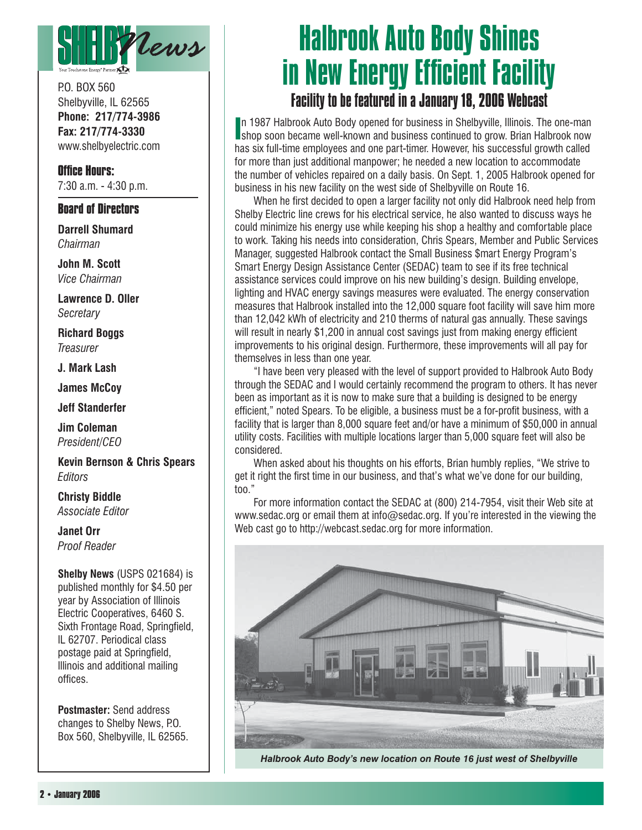

P.O. BOX 560 Shelbyville, IL 62565 **Phone: 217/774-3986 Fax: 217/774-3330** www.shelbyelectric.com

**Office Hours:** 7:30 a.m. - 4:30 p.m.

#### **Board of Directors**

**Darrell Shumard** *Chairman*

**John M. Scott** *Vice Chairman*

**Lawrence D. Oller** *Secretary*

**Richard Boggs** *Treasurer*

**J. Mark Lash**

**James McCoy**

**Jeff Standerfer**

**Jim Coleman** *President/CEO*

**Kevin Bernson & Chris Spears** *Editors*

**Christy Biddle** *Associate Editor*

**Janet Orr** *Proof Reader*

**Shelby News** (USPS 021684) is published monthly for \$4.50 per year by Association of Illinois Electric Cooperatives, 6460 S. Sixth Frontage Road, Springfield, IL 62707. Periodical class postage paid at Springfield, Illinois and additional mailing offices.

**Postmaster:** Send address changes to Shelby News, P.O. Box 560, Shelbyville, IL 62565.

### Halbrook Auto Body Shines in New Energy Efficient Facility Facility to be featured in a January 18, 2006 Webcast

**I**n 1987 Halbrook Auto Body opened for business in Shelbyville, Illinois. The one-man shop soon became well-known and business continued to grow. Brian Halbrook now n 1987 Halbrook Auto Body opened for business in Shelbyville, Illinois. The one-man has six full-time employees and one part-timer. However, his successful growth called for more than just additional manpower; he needed a new location to accommodate the number of vehicles repaired on a daily basis. On Sept. 1, 2005 Halbrook opened for business in his new facility on the west side of Shelbyville on Route 16.

When he first decided to open a larger facility not only did Halbrook need help from Shelby Electric line crews for his electrical service, he also wanted to discuss ways he could minimize his energy use while keeping his shop a healthy and comfortable place to work. Taking his needs into consideration, Chris Spears, Member and Public Services Manager, suggested Halbrook contact the Small Business \$mart Energy Program's Smart Energy Design Assistance Center (SEDAC) team to see if its free technical assistance services could improve on his new building's design. Building envelope, lighting and HVAC energy savings measures were evaluated. The energy conservation measures that Halbrook installed into the 12,000 square foot facility will save him more than 12,042 kWh of electricity and 210 therms of natural gas annually. These savings will result in nearly \$1,200 in annual cost savings just from making energy efficient improvements to his original design. Furthermore, these improvements will all pay for themselves in less than one year.

 "I have been very pleased with the level of support provided to Halbrook Auto Body through the SEDAC and I would certainly recommend the program to others. It has never been as important as it is now to make sure that a building is designed to be energy efficient," noted Spears. To be eligible, a business must be a for-profit business, with a facility that is larger than 8,000 square feet and/or have a minimum of \$50,000 in annual utility costs. Facilities with multiple locations larger than 5,000 square feet will also be considered.

 When asked about his thoughts on his efforts, Brian humbly replies, "We strive to get it right the first time in our business, and that's what we've done for our building. too."

 For more information contact the SEDAC at (800) 214-7954, visit their Web site at www.sedac.org or email them at info@sedac.org. If you're interested in the viewing the Web cast go to http://webcast.sedac.org for more information.



*Halbrook Auto Body's new location on Route 16 just west of Shelbyville*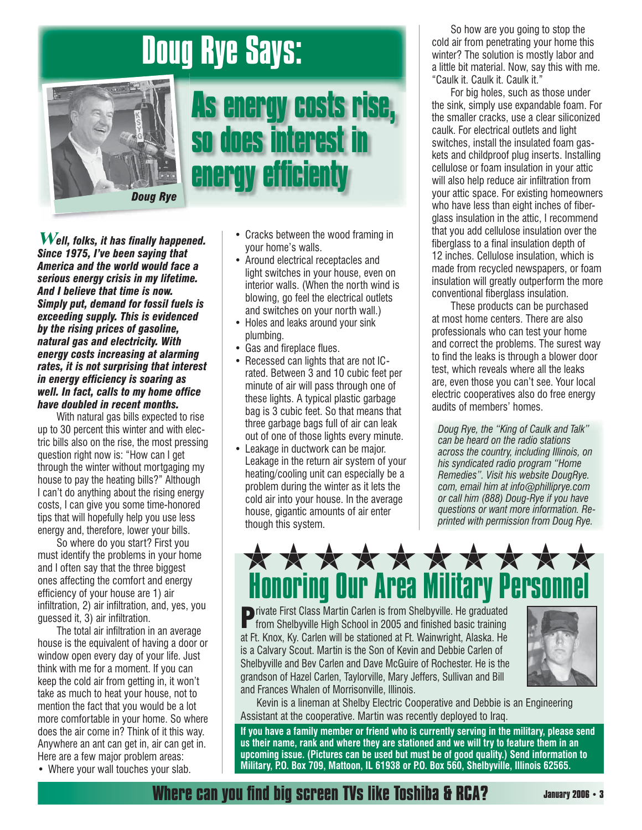## Doug Rye Says:



## As energy costs rise, so does interest in energy efficienty

**Well, folks, it has finally happened.** *Since 1975, I've been saying that America and the world would face a serious energy crisis in my lifetime. And I believe that time is now. Simply put, demand for fossil fuels is exceeding supply. This is evidenced by the rising prices of gasoline, natural gas and electricity. With energy costs increasing at alarming rates, it is not surprising that interest in energy efficiency is soaring as well. In fact, calls to my home office have doubled in recent months.*

With natural gas bills expected to rise up to 30 percent this winter and with electric bills also on the rise, the most pressing question right now is: "How can I get through the winter without mortgaging my house to pay the heating bills?" Although I can't do anything about the rising energy costs, I can give you some time-honored tips that will hopefully help you use less energy and, therefore, lower your bills.

 So where do you start? First you must identify the problems in your home and I often say that the three biggest ones affecting the comfort and energy efficiency of your house are 1) air infiltration, 2) air infiltration, and, yes, you quessed it, 3) air infiltration.

The total air infiltration in an average house is the equivalent of having a door or window open every day of your life. Just think with me for a moment. If you can keep the cold air from getting in, it won't take as much to heat your house, not to mention the fact that you would be a lot more comfortable in your home. So where does the air come in? Think of it this way. Anywhere an ant can get in, air can get in. Here are a few major problem areas:

• Where your wall touches your slab.

- Cracks between the wood framing in your home's walls.
- Around electrical receptacles and light switches in your house, even on interior walls. (When the north wind is blowing, go feel the electrical outlets and switches on your north wall.)
- Holes and leaks around your sink plumbing.
- Gas and fireplace flues.
- Recessed can lights that are not ICrated. Between 3 and 10 cubic feet per minute of air will pass through one of these lights. A typical plastic garbage bag is 3 cubic feet. So that means that three garbage bags full of air can leak out of one of those lights every minute.
- Leakage in ductwork can be major. Leakage in the return air system of your heating/cooling unit can especially be a problem during the winter as it lets the cold air into your house. In the average house, gigantic amounts of air enter though this system.

 So how are you going to stop the cold air from penetrating your home this winter? The solution is mostly labor and a little bit material. Now, say this with me. "Caulk it. Caulk it. Caulk it."

 For big holes, such as those under the sink, simply use expandable foam. For the smaller cracks, use a clear siliconized caulk. For electrical outlets and light switches, install the insulated foam gaskets and childproof plug inserts. Installing cellulose or foam insulation in your attic will also help reduce air infiltration from your attic space. For existing homeowners who have less than eight inches of fiberglass insulation in the attic, I recommend that you add cellulose insulation over the fiberglass to a final insulation depth of 12 inches. Cellulose insulation, which is made from recycled newspapers, or foam insulation will greatly outperform the more conventional fiberglass insulation.

 These products can be purchased at most home centers. There are also profes sionals who can test your home and correct the problems. The surest way to find the leaks is through a blower door test, which reveals where all the leaks are, even those you can't see. Your local electric cooperatives also do free energy audits of members' homes.

*Doug Rye, the "King of Caulk and Talk" can be heard on the radio stations across the country, including Illinois, on his syndicated radio program "Home Remedies". Visit his website DougRye. com, email him at info@philliprye.com or call him (888) Doug-Rye if you have questions or want more information. Reprinted with permission from Doug Rye.*



**Private First Class Martin Carlen is from Shelbyville. He graduated from Shelbyville High School in 2005 and finished basic training** at Ft. Knox, Ky. Carlen will be stationed at Ft. Wainwright, Alaska. He is a Calvary Scout. Martin is the Son of Kevin and Debbie Carlen of Shelbyville and Bev Carlen and Dave McGuire of Rochester. He is the grandson of Hazel Carlen, Taylorville, Mary Jeffers, Sullivan and Bill and Frances Whalen of Morrisonville, Illinois.



 Kevin is a lineman at Shelby Electric Cooperative and Debbie is an Engineering Assistant at the cooperative. Martin was recently deployed to Iraq.

**If you have a family member or friend who is currently serving in the military, please send us their name, rank and where they are stationed and we will try to feature them in an upcoming issue. (Pictures can be used but must be of good quality.) Send information to Military, P.O. Box 709, Mattoon, IL 61938 or P.O. Box 560, Shelbyville, Illinois 62565.** 

**Where can you find big screen TVs like Toshiba & RCA?**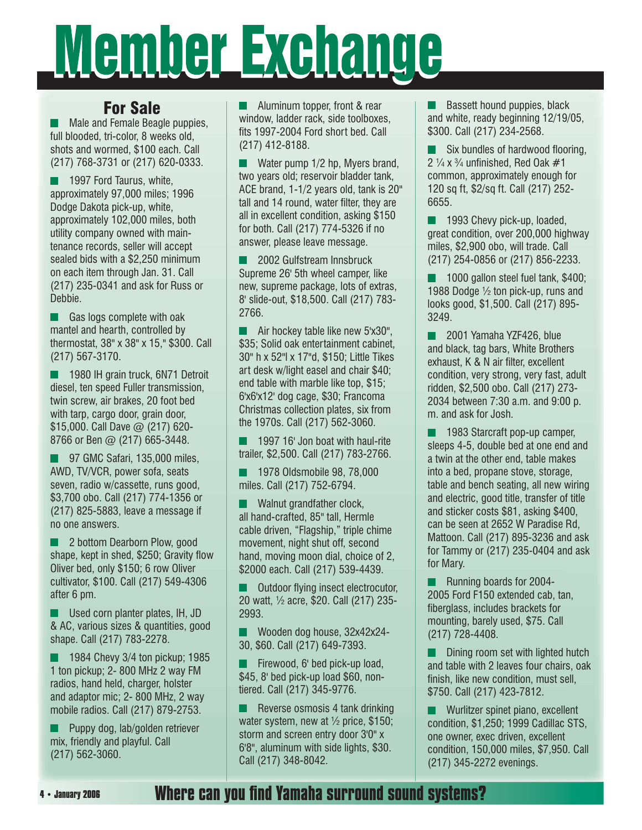## Member Exchange

#### For Sale

**Male and Female Beagle puppies,** full blooded, tri-color, 8 weeks old, shots and wormed, \$100 each. Call (217) 768-3731 or (217) 620-0333.

**1997 Ford Taurus, white,**  approximately 97,000 miles; 1996 Dodge Dakota pick-up, white, approximately 102,000 miles, both utility company owned with maintenance records, seller will accept sealed bids with a \$2,250 minimum on each item through Jan. 31. Call (217) 235-0341 and ask for Russ or Debbie.

Gas logs complete with oak mantel and hearth, controlled by thermostat, 38" x 38" x 15," \$300. Call (217) 567-3170.

1980 IH grain truck, 6N71 Detroit diesel, ten speed Fuller transmission, twin screw, air brakes, 20 foot bed with tarp, cargo door, grain door, \$15,000. Call Dave @ (217) 620-8766 or Ben @ (217) 665-3448.

97 GMC Safari, 135,000 miles, AWD, TV/VCR, power sofa, seats seven, radio w/cassette, runs good, \$3,700 obo. Call (217) 774-1356 or (217) 825-5883, leave a message if no one answers.

**2** bottom Dearborn Plow, good shape, kept in shed, \$250; Gravity flow Oliver bed, only \$150; 6 row Oliver cultivator, \$100. Call (217) 549-4306 after 6 pm.

**Used corn planter plates, IH, JD** & AC, various sizes & quantities, good shape. Call (217) 783-2278.

 $\blacksquare$  1984 Chevy 3/4 ton pickup; 1985 1 ton pickup; 2- 800 MHz 2 way FM radios, hand held, charger, holster and adaptor mic; 2- 800 MHz, 2 way mobile radios. Call (217) 879-2753.

**Puppy dog, lab/golden retriever** mix, friendly and playful. Call (217) 562-3060.

**Aluminum topper, front & rear**  window, ladder rack, side toolboxes, fits 1997-2004 Ford short bed. Call (217) 412-8188.

**Water pump 1/2 hp. Myers brand.** two years old; reservoir bladder tank, ACE brand, 1-1/2 years old, tank is 20" tall and 14 round, water filter, they are all in excellent condition, asking \$150 for both. Call (217) 774-5326 if no answer, please leave message.

 2002 Gulfstream Innsbruck Supreme 26' 5th wheel camper, like new, supreme package, lots of extras, 8' slide-out, \$18,500. Call (217) 783- 2766.

 $\blacksquare$  Air hockey table like new 5'x30", \$35; Solid oak entertainment cabinet, 30" h x 52"l x 17"d, \$150; Little Tikes art desk w/light easel and chair \$40; end table with marble like top, \$15; 6'x6'x12' dog cage, \$30; Francoma Christmas collection plates, six from the 1970s. Call (217) 562-3060.

 1997 16' Jon boat with haul-rite trailer, \$2,500. Call (217) 783-2766.

**1978 Oldsmobile 98, 78,000** miles. Call (217) 752-6794.

Walnut grandfather clock. all hand-crafted, 85" tall, Hermle cable driven, "Flagship," triple chime movement, night shut off, second hand, moving moon dial, choice of 2, \$2000 each. Call (217) 539-4439.

 $\blacksquare$  Outdoor flying insect electrocutor, 20 watt, ½ acre, \$20. Call (217) 235- 2993.

Wooden dog house, 32x42x24-30, \$60. Call (217) 649-7393.

 Firewood, 6' bed pick-up load, \$45, 8' bed pick-up load \$60, nontiered. Call (217) 345-9776.

 $\blacksquare$  Reverse osmosis 4 tank drinking water system, new at  $\frac{1}{2}$  price, \$150; storm and screen entry door 3'0" x 6'8", aluminum with side lights, \$30. Call (217) 348-8042.

 $\blacksquare$  Bassett hound puppies, black and white, ready beginning 12/19/05, \$300. Call (217) 234-2568.

 $\blacksquare$  Six bundles of hardwood flooring, 2  $\frac{1}{4}$  x  $\frac{3}{4}$  unfinished. Red Oak  $\#$ 1 common, approximately enough for 120 sq ft, \$2/sq ft. Call (217) 252- 6655.

**1993 Chevy pick-up, loaded,** great condition, over 200,000 highway miles, \$2,900 obo, will trade. Call (217) 254-0856 or (217) 856-2233.

**1000 gallon steel fuel tank, \$400;** 1988 Dodge ½ ton pick-up, runs and looks good, \$1,500. Call (217) 895- 3249.

2001 Yamaha YZF426, blue and black, tag bars, White Brothers exhaust, K & N air filter, excellent condition, very strong, very fast, adult ridden, \$2,500 obo. Call (217) 273- 2034 between 7:30 a.m. and 9:00 p. m. and ask for Josh.

 1983 Starcraft pop-up camper, sleeps 4-5, double bed at one end and a twin at the other end, table makes into a bed, propane stove, storage, table and bench seating, all new wiring and electric, good title, transfer of title and sticker costs \$81, asking \$400, can be seen at 2652 W Paradise Rd, Mattoon. Call (217) 895-3236 and ask for Tammy or (217) 235-0404 and ask for Mary.

Running boards for 2004-2005 Ford F150 extended cab, tan, fiberglass, includes brackets for mounting, barely used, \$75. Call (217) 728-4408.

 Dining room set with lighted hutch and table with 2 leaves four chairs, oak finish, like new condition, must sell, \$750. Call (217) 423-7812.

**Wurlitzer spinet piano, excellent**  condition, \$1,250; 1999 Cadillac STS, one owner, exec driven, excellent condition, 150,000 miles, \$7,950. Call (217) 345-2272 evenings.

#### **Where can you find Yamaha surround sound systems?**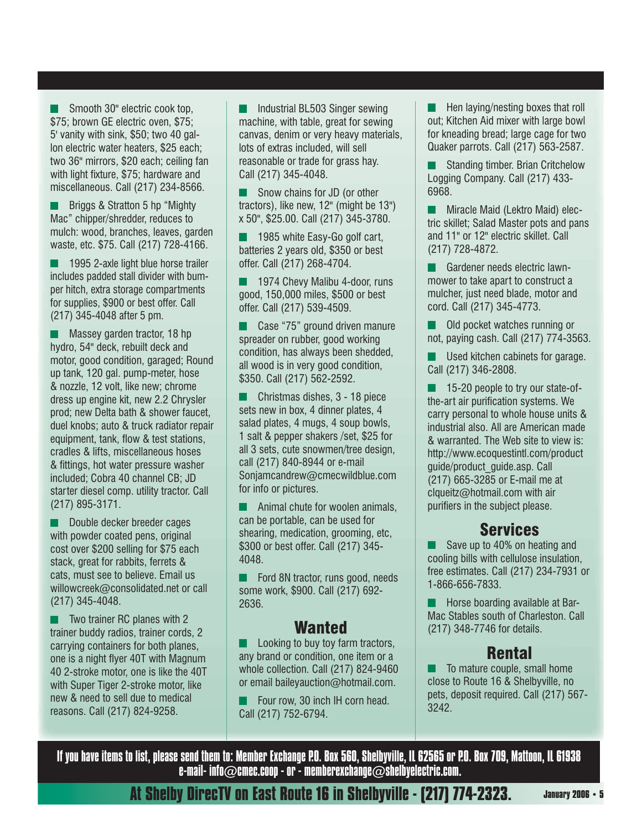Smooth 30" electric cook top, \$75; brown GE electric oven, \$75; 5' vanity with sink, \$50; two 40 gallon electric water heaters, \$25 each; two 36" mirrors, \$20 each; ceiling fan with light fixture, \$75; hardware and miscellaneous. Call (217) 234-8566.

Briggs & Stratton 5 hp "Mighty Mac" chipper/shredder, reduces to mulch: wood, branches, leaves, garden waste, etc. \$75. Call (217) 728-4166.

**1995 2-axle light blue horse trailer** includes padded stall divider with bumper hitch, extra storage compartments for supplies, \$900 or best offer. Call (217) 345-4048 after 5 pm.

**Massey garden tractor, 18 hp**  hydro, 54" deck, rebuilt deck and motor, good condition, garaged; Round up tank, 120 gal. pump-meter, hose & nozzle, 12 volt, like new; chrome dress up engine kit, new 2.2 Chrysler prod; new Delta bath & shower faucet, duel knobs; auto & truck radiator repair equipment, tank, flow & test stations, cradles & lifts, miscellaneous hoses & fittings, hot water pressure washer included; Cobra 40 channel CB; JD starter diesel comp. utility tractor. Call (217) 895-3171.

Double decker breeder cages with powder coated pens, original cost over \$200 selling for \$75 each stack, great for rabbits, ferrets & cats, must see to believe. Email us willowcreek@consolidated.net or call (217) 345-4048.

 $\blacksquare$  Two trainer RC planes with 2 trainer buddy radios, trainer cords, 2 carrying containers for both planes, one is a night flyer 40T with Magnum 40 2-stroke motor, one is like the 40T with Super Tiger 2-stroke motor, like new & need to sell due to medical reasons. Call (217) 824-9258.

**Industrial BL503 Singer sewing** machine, with table, great for sewing canvas, denim or very heavy materials, lots of extras included, will sell reasonable or trade for grass hay. Call (217) 345-4048.

Snow chains for JD (or other tractors), like new, 12" (might be 13") x 50", \$25.00. Call (217) 345-3780.

 1985 white Easy-Go golf cart, batteries 2 years old, \$350 or best offer. Call (217) 268-4704.

**1974 Chevy Malibu 4-door, runs** good, 150,000 miles, \$500 or best offer. Call (217) 539-4509.

 Case "75" ground driven manure spreader on rubber, good working condition, has always been shedded, all wood is in very good condition, \$350. Call (217) 562-2592.

**Christmas dishes, 3 - 18 piece** sets new in box, 4 dinner plates, 4 salad plates, 4 mugs, 4 soup bowls, 1 salt & pepper shakers /set, \$25 for all 3 sets, cute snowmen/tree design, call (217) 840-8944 or e-mail Sonjamcandrew@cmecwildblue.com for info or pictures.

**Animal chute for woolen animals,** can be portable, can be used for shearing, medication, grooming, etc, \$300 or best offer. Call (217) 345- 4048.

**Ford 8N tractor, runs good, needs** some work, \$900. Call (217) 692- 2636.

#### Wanted

**Looking to buy toy farm tractors,** any brand or condition, one item or a whole collection. Call (217) 824-9460 or email baileyauction@hotmail.com.

 Four row, 30 inch IH corn head. Call (217) 752-6794.

 $\blacksquare$  Hen laying/nesting boxes that roll out; Kitchen Aid mixer with large bowl for kneading bread; large cage for two Quaker parrots. Call (217) 563-2587.

 Standing timber. Brian Critchelow Logging Company. Call (217) 433- 6968.

**Miracle Maid (Lektro Maid) elec**tric skillet; Salad Master pots and pans and 11" or 12" electric skillet. Call (217) 728-4872.

Gardener needs electric lawnmower to take apart to construct a mulcher, just need blade, motor and cord. Call (217) 345-4773.

**Old pocket watches running or** not, paying cash. Call (217) 774-3563.

**Used kitchen cabinets for garage.** Call (217) 346-2808.

**15-20 people to try our state-of**the-art air purification systems. We carry personal to whole house units & industrial also. All are American made & warranted. The Web site to view is: http://www.ecoquestintl.com/product guide/product\_guide.asp. Call (217) 665-3285 or E-mail me at  $claueitz@hotmail.com$  with air purifiers in the subject please.

#### Services

Save up to 40% on heating and cooling bills with cellulose insulation, free estimates. Call (217) 234-7931 or 1-866-656-7833.

 $\blacksquare$  Horse boarding available at Bar-Mac Stables south of Charleston. Call (217) 348-7746 for details.

#### Rental

 To mature couple, small home close to Route 16 & Shelbyville, no pets, deposit required. Call (217) 567- 3242.

If you have items to list, please send them to: Member Exchange P.O. Box 560, Shelbyville, IL 62565 or P.O. Box 709, Mattoon, IL 61938 e-mail- info $\oslash$ cmec.coop - or - memberexchange $\oslash$ shelbyelectric.com.

**At Shelby DirecTV on East Route 16 in Shelbyville - (217) 774-2323.**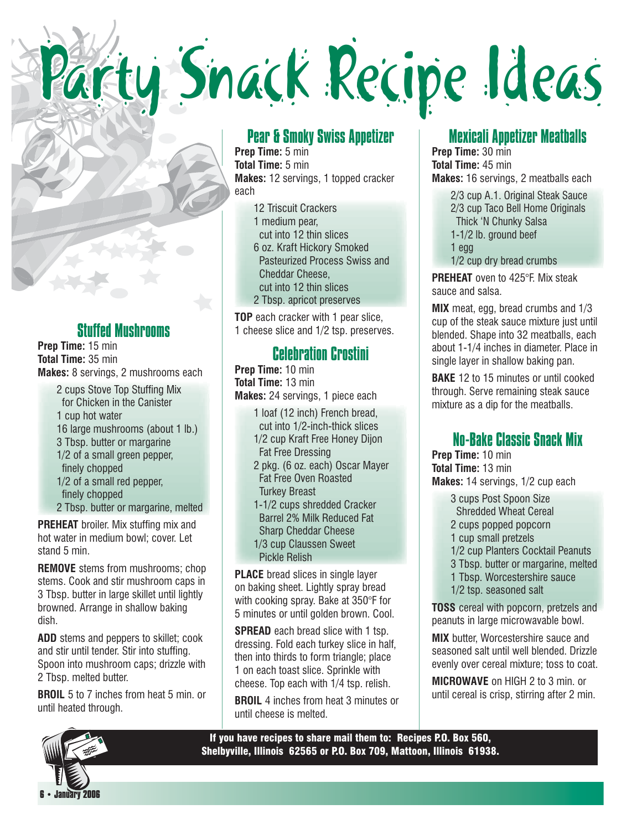# Party Snack Recipe Ideas

#### Stuffed Mushrooms

**Prep Time:** 15 min **Total Time:** 35 min **Makes:** 8 servings, 2 mushrooms each

2 cups Stove Top Stuffing Mix for Chicken in the Canister 1 cup hot water 16 large mushrooms (about 1 lb.) 3 Tbsp. butter or margarine 1/2 of a small green pepper, finely chopped 1/2 of a small red pepper, finely chopped 2 Tbsp. butter or margarine, melted

**PREHEAT** broiler. Mix stuffing mix and hot water in medium bowl; cover. Let stand 5 min.

**REMOVE** stems from mushrooms; chop stems. Cook and stir mushroom caps in 3 Tbsp. butter in large skillet until lightly browned. Arrange in shallow baking dish.

**ADD** stems and peppers to skillet; cook and stir until tender. Stir into stuffing. Spoon into mushroom caps; drizzle with 2 Tbsp. melted butter.

**BROIL** 5 to 7 inches from heat 5 min. or until heated through.

 **6 • January 2006**

#### Pear & Smoky Swiss Appetizer

**Prep Time:** 5 min **Total Time:** 5 min **Makes:** 12 servings, 1 topped cracker each

> 12 Triscuit Crackers 1 medium pear, cut into 12 thin slices 6 oz. Kraft Hickory Smoked Pasteurized Process Swiss and Cheddar Cheese, cut into 12 thin slices 2 Tbsp. apricot preserves

**TOP** each cracker with 1 pear slice, 1 cheese slice and 1/2 tsp. preserves.

#### Celebration Crostini

**Prep Time:** 10 min **Total Time:** 13 min **Makes:** 24 servings, 1 piece each

- 1 loaf (12 inch) French bread,
- cut into 1/2-inch-thick slices 1/2 cup Kraft Free Honey Dijon
- Fat Free Dressing
- 2 pkg. (6 oz. each) Oscar Mayer Fat Free Oven Roasted Turkey Breast
- 1-1/2 cups shredded Cracker Barrel 2% Milk Reduced Fat Sharp Cheddar Cheese 1/3 cup Claussen Sweet
- Pickle Relish

**PLACE** bread slices in single layer on baking sheet. Lightly spray bread with cooking spray. Bake at 350°F for 5 minutes or until golden brown. Cool.

**SPREAD** each bread slice with 1 tsp. dressing. Fold each turkey slice in half, then into thirds to form triangle; place 1 on each toast slice. Sprinkle with cheese. Top each with 1/4 tsp. relish.

**BROIL** 4 inches from heat 3 minutes or until cheese is melted.

#### Mexicali Appetizer Meatballs

**Prep Time:** 30 min **Total Time:** 45 min **Makes:** 16 servings, 2 meatballs each

> 2/3 cup A.1. Original Steak Sauce 2/3 cup Taco Bell Home Originals Thick 'N Chunky Salsa 1-1/2 lb. ground beef 1 egg 1/2 cup dry bread crumbs

**PREHEAT** oven to 425°F. Mix steak sauce and salsa.

**MIX** meat, egg, bread crumbs and 1/3 cup of the steak sauce mixture just until blended. Shape into 32 meatballs, each about 1-1/4 inches in diameter. Place in single layer in shallow baking pan.

**BAKE** 12 to 15 minutes or until cooked through. Serve remaining steak sauce mixture as a dip for the meatballs.

#### No-Bake Classic Snack Mix

**Prep Time:** 10 min **Total Time:** 13 min **Makes:** 14 servings, 1/2 cup each

3 cups Post Spoon Size

- Shredded Wheat Cereal
- 2 cups popped popcorn 1 cup small pretzels
- 1/2 cup Planters Cocktail Peanuts
- 3 Tbsp. butter or margarine, melted
- 1 Tbsp. Worcestershire sauce
- 1/2 tsp. seasoned salt

**TOSS** cereal with popcorn, pretzels and peanuts in large microwavable bowl.

**MIX** butter, Worcestershire sauce and seasoned salt until well blended. Drizzle evenly over cereal mixture; toss to coat.

**MICROWAVE** on HIGH 2 to 3 min. or until cereal is crisp, stirring after 2 min.

If you have recipes to share mail them to: Recipes P.O. Box 560, Shelbyville, Illinois 62565 or P.O. Box 709, Mattoon, Illinois 61938.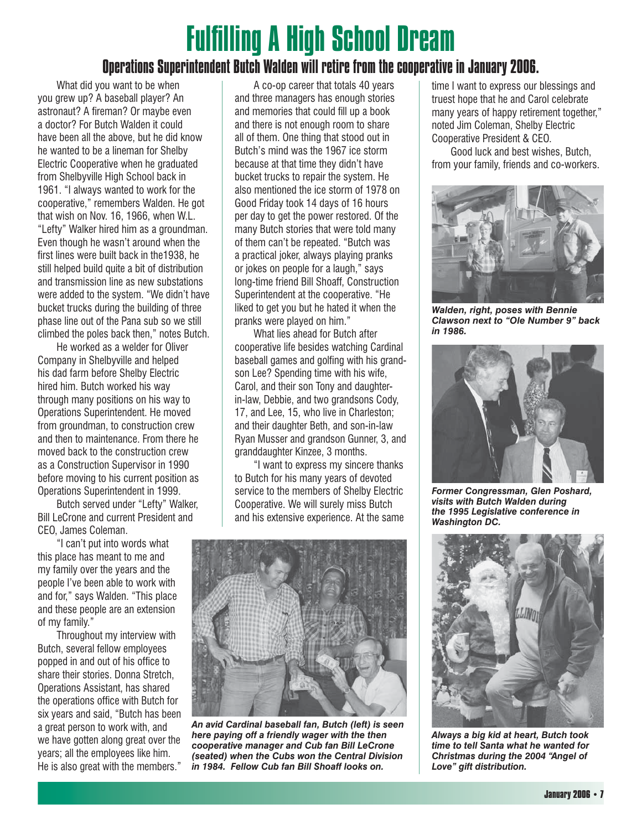## **Fulfilling A High School Dream**

#### Operations Superintendent Butch Walden will retire from the cooperative in January 2006.

 What did you want to be when you grew up? A baseball player? An astronaut? A fireman? Or maybe even a doctor? For Butch Walden it could have been all the above, but he did know he wanted to be a lineman for Shelby Electric Cooperative when he graduated from Shelbyville High School back in 1961. "I always wanted to work for the cooperative," remembers Walden. He got that wish on Nov. 16, 1966, when W.L. "Lefty" Walker hired him as a groundman. Even though he wasn't around when the first lines were built back in the 1938, he still helped build quite a bit of distribution and transmission line as new substations were added to the system. "We didn't have bucket trucks during the building of three phase line out of the Pana sub so we still climbed the poles back then," notes Butch.

 He worked as a welder for Oliver Company in Shelbyville and helped his dad farm before Shelby Electric hired him. Butch worked his way through many positions on his way to Operations Superintendent. He moved from groundman, to construction crew and then to maintenance. From there he moved back to the construction crew as a Construction Supervisor in 1990 before moving to his current position as Operations Superintendent in 1999.

 Butch served under "Lefty" Walker, Bill LeCrone and current President and CEO, James Coleman.

 "I can't put into words what this place has meant to me and my family over the years and the people I've been able to work with and for," says Walden. "This place and these people are an extension of my family."

Throughout my interview with Butch, several fellow employees popped in and out of his office to share their stories. Donna Stretch, Operations Assistant, has shared the operations office with Butch for six years and said, "Butch has been a great person to work with, and we have gotten along great over the years; all the employees like him. He is also great with the members."

 A co-op career that totals 40 years and three managers has enough stories and memories that could fill up a book and there is not enough room to share all of them. One thing that stood out in Butch's mind was the 1967 ice storm because at that time they didn't have bucket trucks to repair the system. He also mentioned the ice storm of 1978 on Good Friday took 14 days of 16 hours per day to get the power restored. Of the many Butch stories that were told many of them can't be repeated. "Butch was a practical joker, always playing pranks or jokes on people for a laugh," says long-time friend Bill Shoaff, Construction Superintendent at the cooperative. "He liked to get you but he hated it when the pranks were played on him."

What lies ahead for Butch after cooperative life besides watching Cardinal baseball games and golfing with his grandson Lee? Spending time with his wife, Carol, and their son Tony and daughterin-law, Debbie, and two grandsons Cody, 17, and Lee, 15, who live in Charleston; and their daughter Beth, and son-in-law Ryan Musser and grandson Gunner, 3, and granddaughter Kinzee, 3 months.

 "I want to express my sincere thanks to Butch for his many years of devoted service to the members of Shelby Electric Cooperative. We will surely miss Butch and his extensive experience. At the same



*An avid Cardinal baseball fan, Butch (left) is seen here paying off a friendly wager with the then cooperative manager and Cub fan Bill LeCrone (seated) when the Cubs won the Central Division in 1984. Fellow Cub fan Bill Shoaff looks on.*

time I want to express our blessings and truest hope that he and Carol celebrate many years of happy retirement together," noted Jim Coleman, Shelby Electric Cooperative President & CEO.

 Good luck and best wishes, Butch, from your family, friends and co-workers.



*Walden, right, poses with Bennie Clawson next to "Ole Number 9" back in 1986.*



*Former Congressman, Glen Poshard, visits with Butch Walden during the 1995 Legislative conference in Washington DC.*



*Always a big kid at heart, Butch took time to tell Santa what he wanted for Christmas during the 2004 "Angel of Love" gift distribution.*